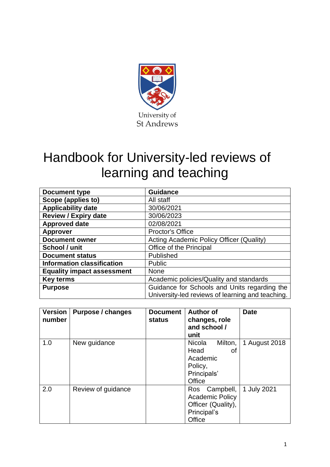

# Handbook for University-led reviews of learning and teaching

| Document type                     | <b>Guidance</b>                                                                                  |
|-----------------------------------|--------------------------------------------------------------------------------------------------|
| Scope (applies to)                | All staff                                                                                        |
| <b>Applicability date</b>         | 30/06/2021                                                                                       |
| <b>Review / Expiry date</b>       | 30/06/2023                                                                                       |
| <b>Approved date</b>              | 02/08/2021                                                                                       |
| <b>Approver</b>                   | <b>Proctor's Office</b>                                                                          |
| <b>Document owner</b>             | Acting Academic Policy Officer (Quality)                                                         |
| School / unit                     | Office of the Principal                                                                          |
| <b>Document status</b>            | Published                                                                                        |
| <b>Information classification</b> | <b>Public</b>                                                                                    |
| <b>Equality impact assessment</b> | <b>None</b>                                                                                      |
| <b>Key terms</b>                  | Academic policies/Quality and standards                                                          |
| <b>Purpose</b>                    | Guidance for Schools and Units regarding the<br>University-led reviews of learning and teaching. |

| <b>Version</b><br>number | Purpose / changes  | <b>Document</b><br>status | <b>Author of</b><br>changes, role<br>and school /<br>unit                                 | <b>Date</b>   |
|--------------------------|--------------------|---------------------------|-------------------------------------------------------------------------------------------|---------------|
| 1.0                      | New guidance       |                           | <b>Nicola</b><br>Milton,<br>Head<br>οf<br>Academic<br>Policy,<br>Principals'<br>Office    | 1 August 2018 |
| 2.0                      | Review of guidance |                           | Campbell,<br>Ros<br><b>Academic Policy</b><br>Officer (Quality),<br>Principal's<br>Office | 1 July 2021   |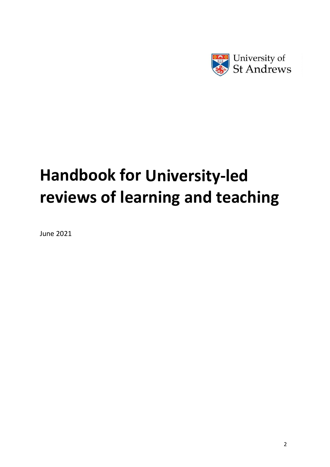

# **Handbook for University-led reviews of learning and teaching**

June 2021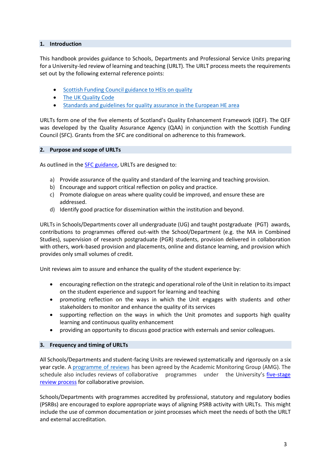# **1. Introduction**

This handbook provides guidance to Schools, Departments and Professional Service Units preparing for a University-led review of learning and teaching (URLT). The URLT process meets the requirements set out by the following external reference points:

- Scottish Funding Council [guidance](http://www.sfc.ac.uk/web/FILES/guidance_sfcgd112017/SFCGD112017-SFC-guidance-HE-institutions-quality.pdf) to HEIs on quality
- The UK [Quality Code](https://www.qaa.ac.uk/quality-code)
- Standards and guidelines for [quality assurance](https://enqa.eu/wp-content/uploads/2015/11/ESG_2015.pdf) in the European HE area

URLTs form one of the five elements of Scotland's Quality Enhancement Framework (QEF). The QEF was developed by the Quality Assurance Agency (QAA) in conjunction with the Scottish Funding Council (SFC). Grants from the SFC are conditional on adherence to this framework.

#### **2. Purpose and scope of URLTs**

As outlined in the [SFC guidance,](http://www.sfc.ac.uk/web/FILES/guidance_sfcgd112017/SFCGD112017-SFC-guidance-HE-institutions-quality.pdf) URLTs are designed to:

- a) Provide assurance of the quality and standard of the learning and teaching provision.
- b) Encourage and support critical reflection on policy and practice.
- c) Promote dialogue on areas where quality could be improved, and ensure these are addressed.
- d) Identify good practice for dissemination within the institution and beyond.

URLTs in Schools/Departments cover all undergraduate (UG) and taught postgraduate (PGT) awards, contributions to programmes offered out-with the School/Department (e.g. the MA in Combined Studies), supervision of research postgraduate (PGR) students, provision delivered in collaboration with others, work-based provision and placements, online and distance learning, and provision which provides only small volumes of credit.

Unit reviews aim to assure and enhance the quality of the student experience by:

- encouraging reflection on the strategic and operational role of the Unit in relation to its impact on the student experience and support for learning and teaching
- promoting reflection on the ways in which the Unit engages with students and other stakeholders to monitor and enhance the quality of its services
- supporting reflection on the ways in which the Unit promotes and supports high quality learning and continuous quality enhancement
- providing an opportunity to discuss good practice with externals and senior colleagues.

# **3. Frequency and timing of URLTs**

All Schools/Departments and student-facing Units are reviewed systematically and rigorously on a six year cycle. A [programme](https://www.st-andrews.ac.uk/assets/university/education/documents/academic-monitoring/urlt/URLT%20schedule%202020-2026.pdf) of reviews has been agreed by the Academic Monitoring Group (AMG). The schedule also includes reviews of collaborative programmes under the University's [five-stage](https://www.st-andrews.ac.uk/staff/studentadmin/study-abroad/typesofcollaborativeprovision/academicmonitoring/collaborativeprogrammereviews/)  [review process](https://www.st-andrews.ac.uk/staff/studentadmin/study-abroad/typesofcollaborativeprovision/academicmonitoring/collaborativeprogrammereviews/) for collaborative provision.

Schools/Departments with programmes accredited by professional, statutory and regulatory bodies (PSRBs) are encouraged to explore appropriate ways of aligning PSRB activity with URLTs. This might include the use of common documentation or joint processes which meet the needs of both the URLT and external accreditation.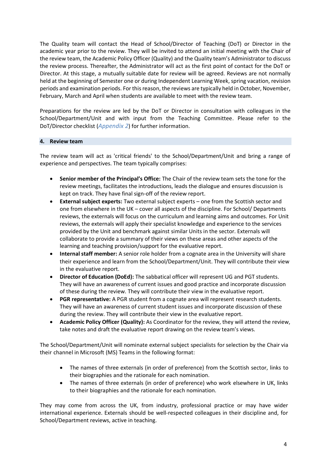The Quality team will contact the Head of School/Director of Teaching (DoT) or Director in the academic year prior to the review. They will be invited to attend an initial meeting with the Chair of the review team, the Academic Policy Officer (Quality) and the Quality team's Administrator to discuss the review process. Thereafter, the Administrator will act as the first point of contact for the DoT or Director. At this stage, a mutually suitable date for review will be agreed. Reviews are not normally held at the beginning of Semester one or during Independent Learning Week, spring vacation, revision periods and examination periods. For this reason, the reviews are typically held in October, November, February, March and April when students are available to meet with the review team.

Preparations for the review are led by the DoT or Director in consultation with colleagues in the School/Department/Unit and with input from the Teaching Committee. Please refer to the DoT/Director checklist (*[Appendix 2](#page-10-0)*) for further information.

#### **4. Review team**

The review team will act as 'critical friends' to the School/Department/Unit and bring a range of experience and perspectives. The team typically comprises:

- **Senior member of the Principal's Office:** The Chair of the review team sets the tone for the review meetings, facilitates the introductions, leads the dialogue and ensures discussion is kept on track. They have final sign-off of the review report.
- **External subject experts:** Two external subject experts one from the Scottish sector and one from elsewhere in the UK – cover all aspects of the discipline. For School/ Departments reviews, the externals will focus on the curriculum and learning aims and outcomes. For Unit reviews, the externals will apply their specialist knowledge and experience to the services provided by the Unit and benchmark against similar Units in the sector. Externals will collaborate to provide a summary of their views on these areas and other aspects of the learning and teaching provision/support for the evaluative report.
- **Internal staff member:** A senior role holder from a cognate area in the University will share their experience and learn from the School/Department/Unit. They will contribute their view in the evaluative report.
- **Director of Education (DoEd):** The sabbatical officer will represent UG and PGT students. They will have an awareness of current issues and good practice and incorporate discussion of these during the review. They will contribute their view in the evaluative report.
- **PGR representative:** A PGR student from a cognate area will represent research students. They will have an awareness of current student issues and incorporate discussion of these during the review. They will contribute their view in the evaluative report.
- **Academic Policy Officer (Quality):** As Coordinator for the review, they will attend the review, take notes and draft the evaluative report drawing on the review team's views.

The School/Department/Unit will nominate external subject specialists for selection by the Chair via their channel in Microsoft (MS) Teams in the following format:

- The names of three externals (in order of preference) from the Scottish sector, links to their biographies and the rationale for each nomination.
- The names of three externals (in order of preference) who work elsewhere in UK, links to their biographies and the rationale for each nomination.

They may come from across the UK, from industry, professional practice or may have wider international experience. Externals should be well-respected colleagues in their discipline and, for School/Department reviews, active in teaching.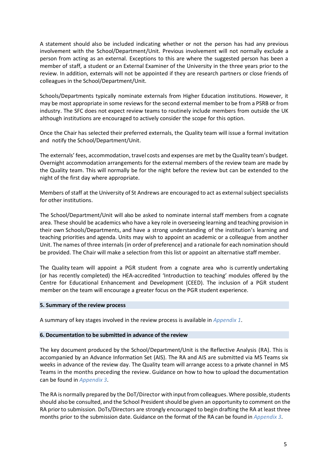A statement should also be included indicating whether or not the person has had any previous involvement with the School/Department/Unit. Previous involvement will not normally exclude a person from acting as an external. Exceptions to this are where the suggested person has been a member of staff, a student or an External Examiner of the University in the three years prior to the review. In addition, externals will not be appointed if they are research partners or close friends of colleagues in the School/Department/Unit.

Schools/Departments typically nominate externals from Higher Education institutions. However, it may be most appropriate in some reviews for the second external member to be from a PSRB or from industry. The SFC does not expect review teams to routinely include members from outside the UK although institutions are encouraged to actively consider the scope for this option.

Once the Chair has selected their preferred externals, the Quality team will issue a formal invitation and notify the School/Department/Unit.

The externals' fees, accommodation, travel costs and expenses are met by the Quality team's budget. Overnight accommodation arrangements for the external members of the review team are made by the Quality team. This will normally be for the night before the review but can be extended to the night of the first day where appropriate.

Members ofstaff at the University of St Andrews are encouraged to act as external subject specialists for other institutions.

The School/Department/Unit will also be asked to nominate internal staff members from a cognate area. These should be academics who have a key role in overseeing learning and teaching provision in their own Schools/Departments, and have a strong understanding of the institution's learning and teaching priorities and agenda. Units may wish to appoint an academic or a colleague from another Unit. The names of three internals (in order of preference) and a rationale for each nomination should be provided. The Chair will make a selection from this list or appoint an alternative staff member.

The Quality team will appoint a PGR student from a cognate area who is currently undertaking (or has recently completed) the HEA-accredited 'Introduction to teaching' modules offered by the Centre for Educational Enhancement and Development (CEED). The inclusion of a PGR student member on the team will encourage a greater focus on the PGR student experience.

#### **5. Summary of the review process**

A summary of key stages involved in the review process is available in *[Appendix 1](#page-9-0)*.

#### **6. Documentation to be submitted in advance of the review**

The key document produced by the School/Department/Unit is the Reflective Analysis (RA). This is accompanied by an Advance Information Set (AIS). The RA and AIS are submitted via MS Teams six weeks in advance of the review day. The Quality team will arrange access to a private channel in MS Teams in the months preceding the review. Guidance on how to how to upload the documentation can be found in *[Appendix 3](#page-11-0)*.

The RA is normally prepared by the DoT/Director with input from colleagues. Where possible, students should also be consulted, and the School Presidentshould be given an opportunity to comment on the RA prior to submission. DoTs/Directors are strongly encouraged to begin drafting the RA at least three months prior to the submission date. Guidance on the format of the RA can be found in *[Appendix 3](#page-11-0)*.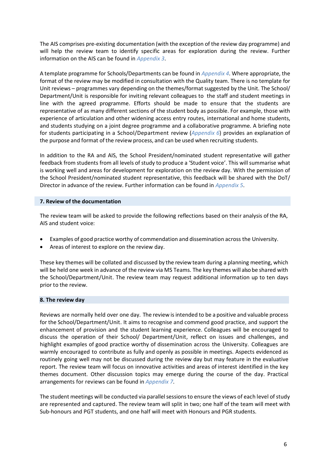The AIS comprises pre-existing documentation (with the exception of the review day programme) and will help the review team to identify specific areas for exploration during the review. Further information on the AIS can be found in *[Appendix 3](#page-11-0)*.

A template programme for Schools/Departments can be found in *[Appendix 4](#page-16-0)*. Where appropriate, the format of the review may be modified in consultation with the Quality team. There is no template for Unit reviews – programmes vary depending on the themes/format suggested by the Unit. The School/ Department/Unit is responsible for inviting relevant colleagues to the staff and student meetings in line with the agreed programme. Efforts should be made to ensure that the students are representative of as many different sections of the student body as possible. For example, those with experience of articulation and other widening access entry routes, international and home students, and students studying on a joint degree programme and a collaborative programme. A briefing note for students participating in a School/Department review (*[Appendix 6](#page-27-0)*) provides an explanation of the purpose and format of the review process, and can be used when recruiting students.

In addition to the RA and AIS, the School President/nominated student representative will gather feedback from students from all levels of study to produce a 'Student voice'. This will summarise what is working well and areas for development for exploration on the review day. With the permission of the School President/nominated student representative, this feedback will be shared with the DoT/ Director in advance of the review. Further information can be found in *[Appendix 5](#page-20-0)*.

#### **7. Review of the documentation**

The review team will be asked to provide the following reflections based on their analysis of the RA, AIS and student voice:

- Examples of good practice worthy of commendation and dissemination across the University.
- Areas of interest to explore on the review day.

These key themes will be collated and discussed by the review team during a planning meeting, which will be held one week in advance of the review via MS Teams. The key themes will also be shared with the School/Department/Unit. The review team may request additional information up to ten days prior to the review.

#### **8. The review day**

Reviews are normally held over one day. The review is intended to be a positive and valuable process for the School/Department/Unit. It aims to recognise and commend good practice, and support the enhancement of provision and the student learning experience. Colleagues will be encouraged to discuss the operation of their School/ Department/Unit, reflect on issues and challenges, and highlight examples of good practice worthy of dissemination across the University. Colleagues are warmly encouraged to contribute as fully and openly as possible in meetings. Aspects evidenced as routinely going well may not be discussed during the review day but may feature in the evaluative report. The review team will focus on innovative activities and areas of interest identified in the key themes document. Other discussion topics may emerge during the course of the day. Practical arrangements for reviews can be found in *[Appendix 7](#page-29-0)*.

The student meetings will be conducted via parallel sessionsto ensure the views of each level of study are represented and captured. The review team will split in two; one half of the team will meet with Sub-honours and PGT students, and one half will meet with Honours and PGR students.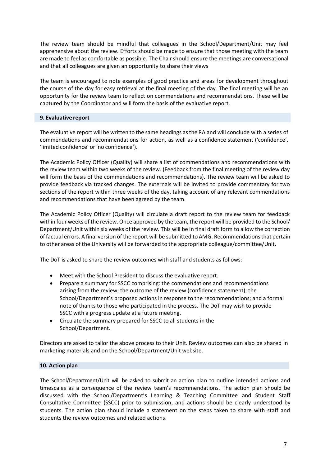The review team should be mindful that colleagues in the School/Department/Unit may feel apprehensive about the review. Efforts should be made to ensure that those meeting with the team are made to feel as comfortable as possible. The Chair should ensure the meetings are conversational and that all colleagues are given an opportunity to share their views

The team is encouraged to note examples of good practice and areas for development throughout the course of the day for easy retrieval at the final meeting of the day. The final meeting will be an opportunity for the review team to reflect on commendations and recommendations. These will be captured by the Coordinator and will form the basis of the evaluative report.

#### **9. Evaluative report**

The evaluative report will be written to the same headings asthe RA and will conclude with a series of commendations and recommendations for action, as well as a confidence statement ('confidence', 'limited confidence' or'no confidence').

The Academic Policy Officer (Quality) will share a list of commendations and recommendations with the review team within two weeks of the review. (Feedback from the final meeting of the review day will form the basis of the commendations and recommendations). The review team will be asked to provide feedback via tracked changes. The externals will be invited to provide commentary for two sections of the report within three weeks of the day, taking account of any relevant commendations and recommendations that have been agreed by the team.

The Academic Policy Officer (Quality) will circulate a draft report to the review team for feedback within four weeks of the review. Once approved by the team, the report will be provided to the School/ Department/Unit within six weeks of the review. This will be in final draft form to allow the correction of factual errors. A final version of the report will be submitted to AMG. Recommendationsthat pertain to other areas of the University will be forwarded to the appropriate colleague/committee/Unit.

The DoT is asked to share the review outcomes with staff and students as follows:

- Meet with the School President to discuss the evaluative report.
- Prepare a summary for SSCC comprising: the commendations and recommendations arising from the review; the outcome of the review (confidence statement); the School/Department's proposed actions in response to the recommendations; and a formal note of thanks to those who participated in the process. The DoT may wish to provide SSCC with a progress update at a future meeting.
- Circulate the summary prepared for SSCC to all students in the School/Department.

Directors are asked to tailor the above process to their Unit. Review outcomes can also be shared in marketing materials and on the School/Department/Unit website.

#### **10. Action plan**

The School/Department/Unit will be asked to submit an action plan to outline intended actions and timescales as a consequence of the review team's recommendations. The action plan should be discussed with the School/Department's Learning & Teaching Committee and Student Staff Consultative Committee (SSCC) prior to submission, and actions should be clearly understood by students. The action plan should include a statement on the steps taken to share with staff and students the review outcomes and related actions.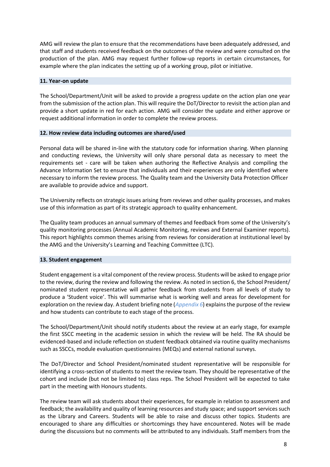AMG will review the plan to ensure that the recommendations have been adequately addressed, and that staff and students received feedback on the outcomes of the review and were consulted on the production of the plan. AMG may request further follow-up reports in certain circumstances, for example where the plan indicates the setting up of a working group, pilot or initiative.

#### **11. Year-on update**

The School/Department/Unit will be asked to provide a progress update on the action plan one year from the submission of the action plan. This will require the DoT/Director to revisit the action plan and provide a short update in red for each action. AMG will consider the update and either approve or request additional information in order to complete the review process.

#### **12. How review data including outcomes are shared/used**

Personal data will be shared in-line with the statutory code for information sharing. When planning and conducting reviews, the University will only share personal data as necessary to meet the requirements set - care will be taken when authoring the Reflective Analysis and compiling the Advance Information Set to ensure that individuals and their experiences are only identified where necessary to inform the review process. The Quality team and the University Data Protection Officer are available to provide advice and support.

The University reflects on strategic issues arising from reviews and other quality processes, and makes use of this information as part of its strategic approach to quality enhancement.

The Quality team produces an annual summary of themes and feedback from some of the University's quality monitoring processes (Annual Academic Monitoring, reviews and External Examiner reports). This report highlights common themes arising from reviews for consideration at institutional level by the AMG and the University's Learning and Teaching Committee (LTC).

#### **13. Student engagement**

Student engagement is a vital component of the review process. Students will be asked to engage prior to the review, during the review and following the review. As noted in section 6, the School President/ nominated student representative will gather feedback from students from all levels of study to produce a 'Student voice'. This will summarise what is working well and areas for development for exploration on the review day. A student briefing note (*[Appendix 6](#page-27-0)*) explains the purpose of the review and how students can contribute to each stage of the process.

The School/Department/Unit should notify students about the review at an early stage, for example the first SSCC meeting in the academic session in which the review will be held. The RA should be evidenced-based and include reflection on student feedback obtained via routine quality mechanisms such as SSCCs, module evaluation questionnaires (MEQs) and external national surveys.

The DoT/Director and School President/nominated student representative will be responsible for identifying a cross-section of students to meet the review team. They should be representative of the cohort and include (but not be limited to) class reps. The School President will be expected to take part in the meeting with Honours students.

The review team will ask students about their experiences, for example in relation to assessment and feedback; the availability and quality of learning resources and study space; and support services such as the Library and Careers. Students will be able to raise and discuss other topics. Students are encouraged to share any difficulties or shortcomings they have encountered. Notes will be made during the discussions but no comments will be attributed to any individuals. Staff members from the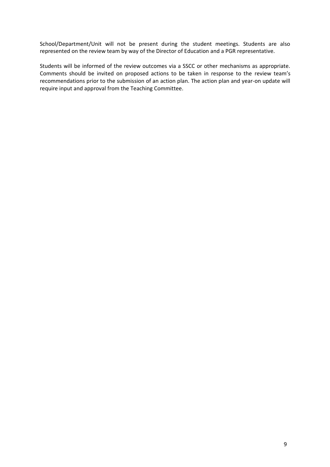School/Department/Unit will not be present during the student meetings. Students are also represented on the review team by way of the Director of Education and a PGR representative.

Students will be informed of the review outcomes via a SSCC or other mechanisms as appropriate. Comments should be invited on proposed actions to be taken in response to the review team's recommendations prior to the submission of an action plan. The action plan and year-on update will require input and approval from the Teaching Committee.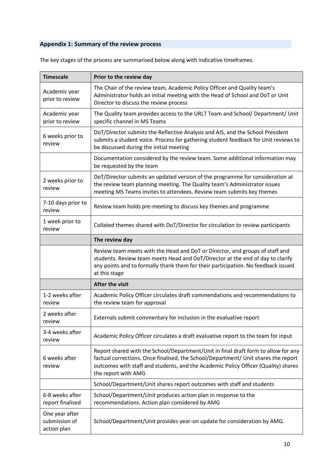# <span id="page-9-0"></span>**Appendix 1: Summary of the review process**

| <b>Timescale</b>                               | Prior to the review day                                                                                                                                                                                                                                                               |
|------------------------------------------------|---------------------------------------------------------------------------------------------------------------------------------------------------------------------------------------------------------------------------------------------------------------------------------------|
| Academic year<br>prior to review               | The Chair of the review team, Academic Policy Officer and Quality team's<br>Administrator holds an initial meeting with the Head of School and DoT or Unit<br>Director to discuss the review process                                                                                  |
| Academic year<br>prior to review               | The Quality team provides access to the URLT Team and School/ Department/ Unit<br>specific channel in MS Teams                                                                                                                                                                        |
| 6 weeks prior to<br>review                     | DoT/Director submits the Reflective Analysis and AIS, and the School President<br>submits a student voice. Process for gathering student feedback for Unit reviews to<br>be discussed during the initial meeting                                                                      |
|                                                | Documentation considered by the review team. Some additional information may<br>be requested by the team                                                                                                                                                                              |
| 2 weeks prior to<br>review                     | DoT/Director submits an updated version of the programme for consideration at<br>the review team planning meeting. The Quality team's Administrator issues<br>meeting MS Teams invites to attendees. Review team submits key themes                                                   |
| 7-10 days prior to<br>review                   | Review team holds pre-meeting to discuss key themes and programme                                                                                                                                                                                                                     |
| 1 week prior to<br>review                      | Collated themes shared with DoT/Director for circulation to review participants                                                                                                                                                                                                       |
|                                                | The review day                                                                                                                                                                                                                                                                        |
|                                                | Review team meets with the Head and DoT or Director, and groups of staff and<br>students. Review team meets Head and DoT/Director at the end of day to clarify<br>any points and to formally thank them for their participation. No feedback issued<br>at this stage                  |
|                                                | After the visit                                                                                                                                                                                                                                                                       |
| 1-2 weeks after<br>review                      | Academic Policy Officer circulates draft commendations and recommendations to<br>the review team for approval                                                                                                                                                                         |
| 2 weeks after<br>review                        | Externals submit commentary for inclusion in the evaluative report                                                                                                                                                                                                                    |
| 3-4 weeks after<br>review                      | Academic Policy Officer circulates a draft evaluative report to the team for input                                                                                                                                                                                                    |
| 6 weeks after<br>review                        | Report shared with the School/Department/Unit in final draft form to allow for any<br>factual corrections. Once finalised, the School/Department/ Unit shares the report<br>outcomes with staff and students, and the Academic Policy Officer (Quality) shares<br>the report with AMG |
|                                                | School/Department/Unit shares report outcomes with staff and students                                                                                                                                                                                                                 |
| 6-8 weeks after<br>report finalised            | School/Department/Unit produces action plan in response to the<br>recommendations. Action plan considered by AMG                                                                                                                                                                      |
| One year after<br>submission of<br>action plan | School/Department/Unit provides year-on update for consideration by AMG.                                                                                                                                                                                                              |

The key stages of the process are summarised below along with indicative timeframes.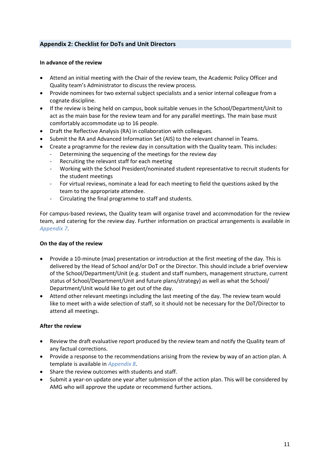# <span id="page-10-0"></span>**Appendix 2: Checklist for DoTs and Unit Directors**

#### **In advance of the review**

- Attend an initial meeting with the Chair of the review team, the Academic Policy Officer and Quality team's Administrator to discuss the review process.
- Provide nominees for two external subject specialists and a senior internal colleague from a cognate discipline.
- If the review is being held on campus, book suitable venues in the School/Department/Unit to act as the main base for the review team and for any parallel meetings. The main base must comfortably accommodate up to 16 people.
- Draft the Reflective Analysis (RA) in collaboration with colleagues.
- Submit the RA and Advanced Information Set (AIS) to the relevant channel in Teams.
- Create a programme for the review day in consultation with the Quality team. This includes:
	- Determining the sequencing of the meetings for the review day
	- Recruiting the relevant staff for each meeting
	- Working with the School President/nominated student representative to recruit students for the student meetings
	- For virtual reviews, nominate a lead for each meeting to field the questions asked by the team to the appropriate attendee.
	- Circulating the final programme to staff and students.

For campus-based reviews, the Quality team will organise travel and accommodation for the review team, and catering for the review day. Further information on practical arrangements is available in *[Appendix 7](#page-29-0)*.

#### **On the day of the review**

- Provide a 10-minute (max) presentation or introduction at the first meeting of the day. This is delivered by the Head of School and/or DoT or the Director. This should include a brief overview of the School/Department/Unit (e.g. student and staff numbers, management structure, current status of School/Department/Unit and future plans/strategy) as well as what the School/ Department/Unit would like to get out of the day.
- Attend other relevant meetings including the last meeting of the day. The review team would like to meet with a wide selection of staff, so it should not be necessary for the DoT/Director to attend all meetings.

# **After the review**

- Review the draft evaluative report produced by the review team and notify the Quality team of any factual corrections.
- Provide a response to the recommendations arising from the review by way of an action plan. A template is available in *[Appendix 8](#page-31-0)*.
- Share the review outcomes with students and staff.
- Submit a year-on update one year after submission of the action plan. This will be considered by AMG who will approve the update or recommend further actions.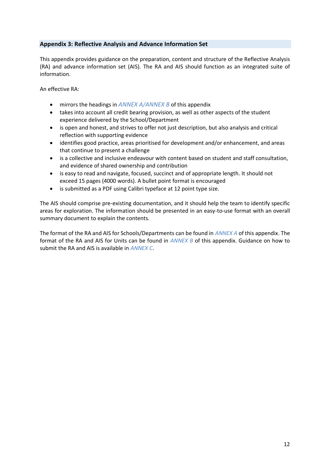# <span id="page-11-0"></span>**Appendix 3: Reflective Analysis and Advance Information Set**

This appendix provides guidance on the preparation, content and structure of the Reflective Analysis (RA) and advance information set (AIS). The RA and AIS should function as an integrated suite of information.

An effective RA:

- mirrors the headings in *[ANNEX A](#page-12-0)/[ANNEX B](#page-14-0)* of this appendix
- takes into account all credit bearing provision, as well as other aspects of the student experience delivered by the School/Department
- is open and honest, and strives to offer not just description, but also analysis and critical reflection with supporting evidence
- identifies good practice, areas prioritised for development and/or enhancement, and areas that continue to present a challenge
- is a collective and inclusive endeavour with content based on student and staff consultation, and evidence of shared ownership and contribution
- is easy to read and navigate, focused, succinct and of appropriate length. It should not exceed 15 pages (4000 words). A bullet point format is encouraged
- is submitted as a PDF using Calibri typeface at 12 point type size.

The AIS should comprise pre-existing documentation, and it should help the team to identify specific areas for exploration. The information should be presented in an easy-to-use format with an overall summary document to explain the contents.

The format of the RA and AIS for Schools/Departments can be found in *[ANNEX A](#page-12-0)* of this appendix. The format of the RA and AIS for Units can be found in *[ANNEX B](#page-14-0)* of this appendix. Guidance on how to submit the RA and AIS is available in *[ANNEX C](#page-15-0)*.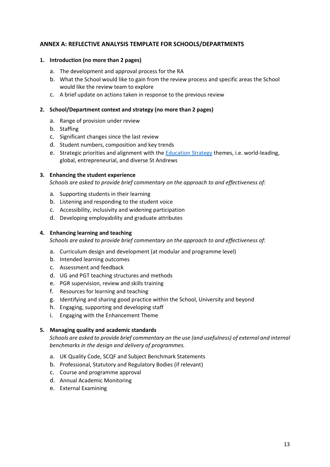# <span id="page-12-0"></span>**ANNEX A: REFLECTIVE ANALYSIS TEMPLATE FOR SCHOOLS/DEPARTMENTS**

#### **1. Introduction (no more than 2 pages)**

- a. The development and approval process for the RA
- b. What the School would like to gain from the review process and specific areas the School would like the review team to explore
- c. A brief update on actions taken in response to the previous review

#### **2. School/Department context and strategy (no more than 2 pages)**

- a. Range of provision under review
- b. Staffing
- c. Significant changes since the last review
- d. Student numbers, composition and key trends
- e. Strategic priorities and alignment with the [Education Strategy](https://www.st-andrews.ac.uk/policy/academic-policies-quality-and-standards/education_strategy.pdf) themes, i.e. world-leading, global, entrepreneurial, and diverse St Andrews

#### **3. Enhancing the student experience**

*Schools are asked to provide brief commentary on the approach to and effectiveness of:* 

- a. Supporting students in their learning
- b. Listening and responding to the student voice
- c. Accessibility, inclusivity and widening participation
- d. Developing employability and graduate attributes

#### **4. Enhancing learning and teaching**

*Schools are asked to provide brief commentary on the approach to and effectiveness of:* 

- a. Curriculum design and development (at modular and programme level)
- b. Intended learning outcomes
- c. Assessment and feedback
- d. UG and PGT teaching structures and methods
- e. PGR supervision, review and skills training
- f. Resources for learning and teaching
- g. Identifying and sharing good practice within the School, University and beyond
- h. Engaging, supporting and developing staff
- i. Engaging with the Enhancement Theme

#### **5. Managing quality and academic standards**

*Schools are asked to provide brief commentary on the use (and usefulness) of external and internal benchmarks in the design and delivery of programmes.*

- a. UK Quality Code, SCQF and Subject Benchmark Statements
- b. Professional, Statutory and Regulatory Bodies (if relevant)
- c. Course and programme approval
- d. Annual Academic Monitoring
- e. External Examining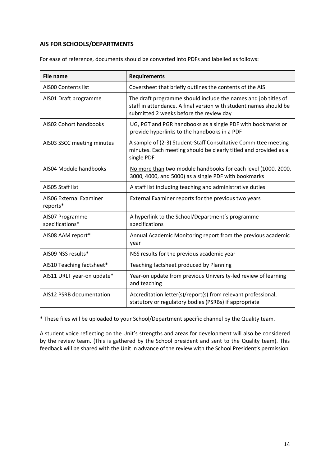# **AIS FOR SCHOOLS/DEPARTMENTS**

For ease of reference, documents should be converted into PDFs and labelled as follows:

| <b>File name</b>                           | <b>Requirements</b>                                                                                                                                                            |
|--------------------------------------------|--------------------------------------------------------------------------------------------------------------------------------------------------------------------------------|
| <b>AISOO Contents list</b>                 | Coversheet that briefly outlines the contents of the AIS                                                                                                                       |
| AIS01 Draft programme                      | The draft programme should include the names and job titles of<br>staff in attendance. A final version with student names should be<br>submitted 2 weeks before the review day |
| AIS02 Cohort handbooks                     | UG, PGT and PGR handbooks as a single PDF with bookmarks or<br>provide hyperlinks to the handbooks in a PDF                                                                    |
| AIS03 SSCC meeting minutes                 | A sample of (2-3) Student-Staff Consultative Committee meeting<br>minutes. Each meeting should be clearly titled and provided as a<br>single PDF                               |
| AIS04 Module handbooks                     | No more than two module handbooks for each level (1000, 2000,<br>3000, 4000, and 5000) as a single PDF with bookmarks                                                          |
| AISO5 Staff list                           | A staff list including teaching and administrative duties                                                                                                                      |
| <b>AISO6 External Examiner</b><br>reports* | External Examiner reports for the previous two years                                                                                                                           |
| AIS07 Programme<br>specifications*         | A hyperlink to the School/Department's programme<br>specifications                                                                                                             |
| AIS08 AAM report*                          | Annual Academic Monitoring report from the previous academic<br>year                                                                                                           |
| AIS09 NSS results*                         | NSS results for the previous academic year                                                                                                                                     |
| AIS10 Teaching factsheet*                  | Teaching factsheet produced by Planning                                                                                                                                        |
| AIS11 URLT year-on update*                 | Year-on update from previous University-led review of learning<br>and teaching                                                                                                 |
| AIS12 PSRB documentation                   | Accreditation letter(s)/report(s) from relevant professional,<br>statutory or regulatory bodies (PSRBs) if appropriate                                                         |

\* These files will be uploaded to your School/Department specific channel by the Quality team.

A student voice reflecting on the Unit's strengths and areas for development will also be considered by the review team. (This is gathered by the School president and sent to the Quality team). This feedback will be shared with the Unit in advance of the review with the School President's permission.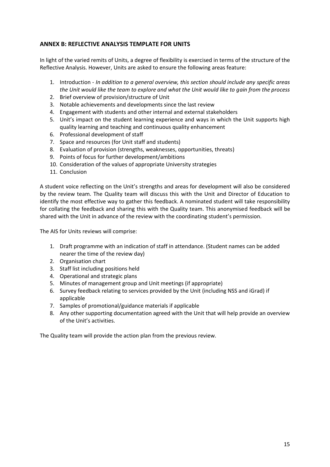# <span id="page-14-0"></span>**ANNEX B: REFLECTIVE ANALYSIS TEMPLATE FOR UNITS**

In light of the varied remits of Units, a degree of flexibility is exercised in terms of the structure of the Reflective Analysis. However, Units are asked to ensure the following areas feature:

- 1. Introduction *In addition to a general overview, this section should include any specific areas the Unit would like the team to explore and what the Unit would like to gain from the process*
- 2. Brief overview of provision/structure of Unit
- 3. Notable achievements and developments since the last review
- 4. Engagement with students and other internal and external stakeholders
- 5. Unit's impact on the student learning experience and ways in which the Unit supports high quality learning and teaching and continuous quality enhancement
- 6. Professional development of staff
- 7. Space and resources (for Unit staff and students)
- 8. Evaluation of provision (strengths, weaknesses, opportunities, threats)
- 9. Points of focus for further development/ambitions
- 10. Consideration of the values of appropriate University strategies
- 11. Conclusion

A student voice reflecting on the Unit's strengths and areas for development will also be considered by the review team. The Quality team will discuss this with the Unit and Director of Education to identify the most effective way to gather this feedback. A nominated student will take responsibility for collating the feedback and sharing this with the Quality team. This anonymised feedback will be shared with the Unit in advance of the review with the coordinating student's permission.

The AIS for Units reviews will comprise:

- 1. Draft programme with an indication of staff in attendance. (Student names can be added nearer the time of the review day)
- 2. Organisation chart
- 3. Staff list including positions held
- 4. Operational and strategic plans
- 5. Minutes of management group and Unit meetings (if appropriate)
- 6. Survey feedback relating to services provided by the Unit (including NSS and iGrad) if applicable
- 7. Samples of promotional/guidance materials if applicable
- 8. Any other supporting documentation agreed with the Unit that will help provide an overview of the Unit's activities.

The Quality team will provide the action plan from the previous review.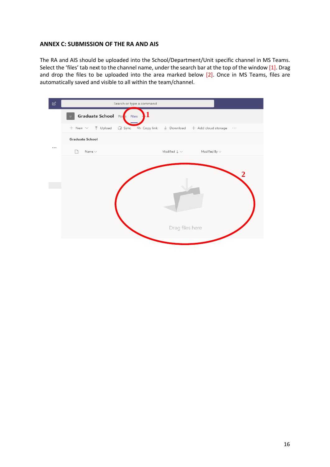#### <span id="page-15-0"></span>**ANNEX C: SUBMISSION OF THE RA AND AIS**

The RA and AIS should be uploaded into the School/Department/Unit specific channel in MS Teams. Select the 'files' tab next to the channel name, under the search bar at the top of the window [1]. Drag and drop the files to be uploaded into the area marked below [2]. Once in MS Teams, files are automatically saved and visible to all within the team/channel.

| $\mathbb{Z}$ | Search or type a command                                                                                                                  |
|--------------|-------------------------------------------------------------------------------------------------------------------------------------------|
|              | Graduate School Pos Files<br>$\cup$                                                                                                       |
|              | + New $\vee$ $\bar{\uparrow}$ Upload $\hat{\mathbb{G}}$ Sync $\otimes$ Copy link $\bar{\downarrow}$ Download + Add cloud storage $\cdots$ |
|              | <b>Graduate School</b>                                                                                                                    |
|              | Modified $\downarrow \; \vee \;$ Modified By $\vee$<br>Name $\smallsmile$                                                                 |
|              |                                                                                                                                           |
|              |                                                                                                                                           |
|              |                                                                                                                                           |
|              |                                                                                                                                           |
|              |                                                                                                                                           |
|              |                                                                                                                                           |
|              | Drag files here                                                                                                                           |
|              |                                                                                                                                           |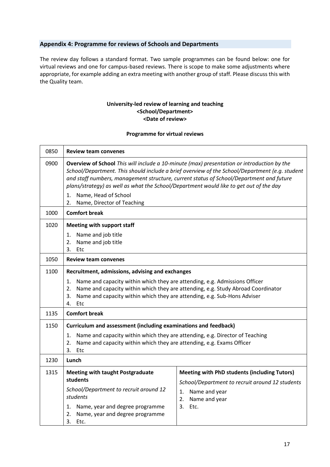# <span id="page-16-0"></span>**Appendix 4: Programme for reviews of Schools and Departments**

The review day follows a standard format. Two sample programmes can be found below: one for virtual reviews and one for campus-based reviews. There is scope to make some adjustments where appropriate, for example adding an extra meeting with another group of staff. Please discuss this with the Quality team.

#### **University-led review of learning and teaching <School/Department> <Date of review>**

#### **Programme for virtual reviews**

| 0850 | <b>Review team convenes</b>                                                                                                                                                                                                                                                                                                                                                       |                                                                                                                                                                 |  |
|------|-----------------------------------------------------------------------------------------------------------------------------------------------------------------------------------------------------------------------------------------------------------------------------------------------------------------------------------------------------------------------------------|-----------------------------------------------------------------------------------------------------------------------------------------------------------------|--|
| 0900 | Overview of School This will include a 10-minute (max) presentation or introduction by the<br>School/Department. This should include a brief overview of the School/Department (e.g. student<br>and staff numbers, management structure, current status of School/Department and future<br>plans/strategy) as well as what the School/Department would like to get out of the day |                                                                                                                                                                 |  |
|      | Name, Head of School<br>1.<br>2.<br>Name, Director of Teaching                                                                                                                                                                                                                                                                                                                    |                                                                                                                                                                 |  |
| 1000 | <b>Comfort break</b>                                                                                                                                                                                                                                                                                                                                                              |                                                                                                                                                                 |  |
| 1020 | Meeting with support staff                                                                                                                                                                                                                                                                                                                                                        |                                                                                                                                                                 |  |
|      | Name and job title<br>1.<br>2.<br>Name and job title<br>3.<br>Etc                                                                                                                                                                                                                                                                                                                 |                                                                                                                                                                 |  |
| 1050 | <b>Review team convenes</b>                                                                                                                                                                                                                                                                                                                                                       |                                                                                                                                                                 |  |
| 1100 | Recruitment, admissions, advising and exchanges                                                                                                                                                                                                                                                                                                                                   |                                                                                                                                                                 |  |
|      | Name and capacity within which they are attending, e.g. Admissions Officer<br>1.<br>Name and capacity within which they are attending, e.g. Study Abroad Coordinator<br>2.<br>Name and capacity within which they are attending, e.g. Sub-Hons Adviser<br>3.<br>Etc<br>4.                                                                                                         |                                                                                                                                                                 |  |
| 1135 | <b>Comfort break</b>                                                                                                                                                                                                                                                                                                                                                              |                                                                                                                                                                 |  |
| 1150 | Curriculum and assessment (including examinations and feedback)                                                                                                                                                                                                                                                                                                                   |                                                                                                                                                                 |  |
|      | Name and capacity within which they are attending, e.g. Director of Teaching<br>1.<br>Name and capacity within which they are attending, e.g. Exams Officer<br>2.<br>3.<br>Etc                                                                                                                                                                                                    |                                                                                                                                                                 |  |
| 1230 | Lunch                                                                                                                                                                                                                                                                                                                                                                             |                                                                                                                                                                 |  |
| 1315 | <b>Meeting with taught Postgraduate</b><br>students<br>School/Department to recruit around 12<br>students<br>Name, year and degree programme<br>1.<br>2.<br>Name, year and degree programme<br>3.<br>Etc.                                                                                                                                                                         | <b>Meeting with PhD students (including Tutors)</b><br>School/Department to recruit around 12 students<br>1. Name and year<br>2.<br>Name and year<br>3.<br>Etc. |  |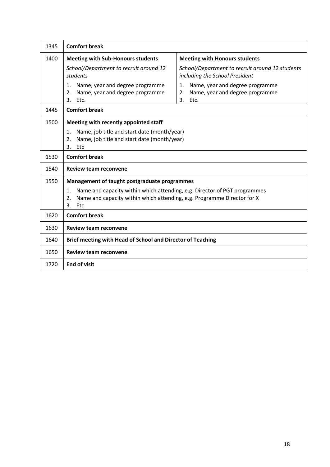| 1345 | <b>Comfort break</b>                                                                                                                                                          |                                                                                              |  |
|------|-------------------------------------------------------------------------------------------------------------------------------------------------------------------------------|----------------------------------------------------------------------------------------------|--|
| 1400 | <b>Meeting with Sub-Honours students</b>                                                                                                                                      | <b>Meeting with Honours students</b>                                                         |  |
|      | School/Department to recruit around 12<br>students                                                                                                                            | School/Department to recruit around 12 students<br>including the School President            |  |
|      | 1.<br>Name, year and degree programme<br>Name, year and degree programme<br>2.<br>3.<br>Etc.                                                                                  | Name, year and degree programme<br>1.<br>Name, year and degree programme<br>2.<br>3.<br>Etc. |  |
| 1445 | <b>Comfort break</b>                                                                                                                                                          |                                                                                              |  |
| 1500 | Meeting with recently appointed staff                                                                                                                                         |                                                                                              |  |
|      | Name, job title and start date (month/year)<br>1.<br>Name, job title and start date (month/year)<br>2.<br>3.<br>Etc                                                           |                                                                                              |  |
| 1530 | <b>Comfort break</b>                                                                                                                                                          |                                                                                              |  |
| 1540 | <b>Review team reconvene</b>                                                                                                                                                  |                                                                                              |  |
| 1550 | Management of taught postgraduate programmes                                                                                                                                  |                                                                                              |  |
|      | Name and capacity within which attending, e.g. Director of PGT programmes<br>1.<br>Name and capacity within which attending, e.g. Programme Director for X<br>2.<br>3.<br>Etc |                                                                                              |  |
| 1620 | <b>Comfort break</b>                                                                                                                                                          |                                                                                              |  |
| 1630 | <b>Review team reconvene</b>                                                                                                                                                  |                                                                                              |  |
| 1640 | Brief meeting with Head of School and Director of Teaching                                                                                                                    |                                                                                              |  |
| 1650 | <b>Review team reconvene</b>                                                                                                                                                  |                                                                                              |  |
| 1720 | <b>End of visit</b>                                                                                                                                                           |                                                                                              |  |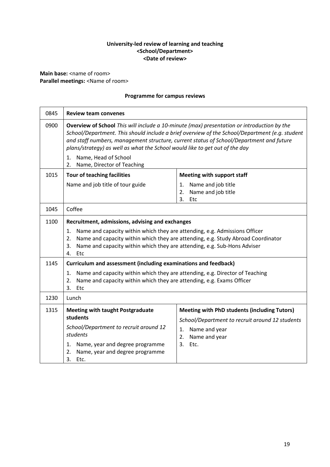# **University-led review of learning and teaching <School/Department> <Date of review>**

**Main base:** <name of room> **Parallel meetings: <Name of room>** 

# **Programme for campus reviews**

| 0845 | <b>Review team convenes</b>                                                                                                                                                                                                                                                                                                                                            |                                                                                                                                                                    |  |
|------|------------------------------------------------------------------------------------------------------------------------------------------------------------------------------------------------------------------------------------------------------------------------------------------------------------------------------------------------------------------------|--------------------------------------------------------------------------------------------------------------------------------------------------------------------|--|
| 0900 | Overview of School This will include a 10-minute (max) presentation or introduction by the<br>School/Department. This should include a brief overview of the School/Department (e.g. student<br>and staff numbers, management structure, current status of School/Department and future<br>plans/strategy) as well as what the School would like to get out of the day |                                                                                                                                                                    |  |
|      | Name, Head of School<br>1.<br>Name, Director of Teaching<br>2.                                                                                                                                                                                                                                                                                                         |                                                                                                                                                                    |  |
| 1015 | <b>Tour of teaching facilities</b>                                                                                                                                                                                                                                                                                                                                     | <b>Meeting with support staff</b>                                                                                                                                  |  |
|      | Name and job title of tour guide                                                                                                                                                                                                                                                                                                                                       | Name and job title<br>1.<br>Name and job title<br>2.<br>3.<br>Etc                                                                                                  |  |
| 1045 | Coffee                                                                                                                                                                                                                                                                                                                                                                 |                                                                                                                                                                    |  |
| 1100 | Recruitment, admissions, advising and exchanges                                                                                                                                                                                                                                                                                                                        |                                                                                                                                                                    |  |
|      | Name and capacity within which they are attending, e.g. Admissions Officer<br>1.<br>2.<br>Name and capacity within which they are attending, e.g. Sub-Hons Adviser<br>3.<br>4.<br>Etc                                                                                                                                                                                  | Name and capacity within which they are attending, e.g. Study Abroad Coordinator                                                                                   |  |
| 1145 | Curriculum and assessment (including examinations and feedback)                                                                                                                                                                                                                                                                                                        |                                                                                                                                                                    |  |
|      | 1.<br>Name and capacity within which they are attending, e.g. Director of Teaching<br>Name and capacity within which they are attending, e.g. Exams Officer<br>2.<br>3.<br>Etc                                                                                                                                                                                         |                                                                                                                                                                    |  |
| 1230 | Lunch                                                                                                                                                                                                                                                                                                                                                                  |                                                                                                                                                                    |  |
| 1315 | <b>Meeting with taught Postgraduate</b><br>students<br>School/Department to recruit around 12<br>students<br>Name, year and degree programme<br>1.<br>2.<br>Name, year and degree programme                                                                                                                                                                            | <b>Meeting with PhD students (including Tutors)</b><br>School/Department to recruit around 12 students<br>1.<br>Name and year<br>2.<br>Name and year<br>3.<br>Etc. |  |
|      | 3.<br>Etc.                                                                                                                                                                                                                                                                                                                                                             |                                                                                                                                                                    |  |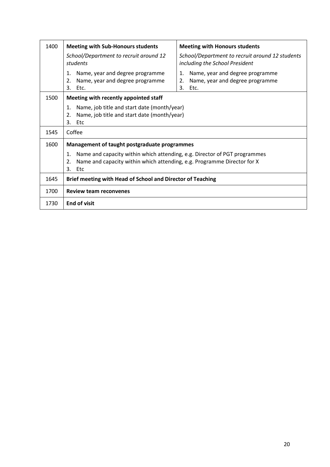| 1400 | <b>Meeting with Sub-Honours students</b>                                                                                                                         | <b>Meeting with Honours students</b>                                                         |  |
|------|------------------------------------------------------------------------------------------------------------------------------------------------------------------|----------------------------------------------------------------------------------------------|--|
|      | School/Department to recruit around 12<br>students                                                                                                               | School/Department to recruit around 12 students<br>including the School President            |  |
|      | Name, year and degree programme<br>1.<br>Name, year and degree programme<br>2.<br>3.<br>Etc.                                                                     | Name, year and degree programme<br>1.<br>Name, year and degree programme<br>2.<br>3.<br>Etc. |  |
| 1500 | Meeting with recently appointed staff                                                                                                                            |                                                                                              |  |
|      | Name, job title and start date (month/year)<br>1.<br>Name, job title and start date (month/year)<br>2.<br>3.<br>Etc                                              |                                                                                              |  |
| 1545 | Coffee                                                                                                                                                           |                                                                                              |  |
| 1600 | Management of taught postgraduate programmes                                                                                                                     |                                                                                              |  |
|      | Name and capacity within which attending, e.g. Director of PGT programmes<br>1.<br>Name and capacity within which attending, e.g. Programme Director for X<br>2. |                                                                                              |  |
|      | 3.<br>Etc                                                                                                                                                        |                                                                                              |  |
| 1645 | Brief meeting with Head of School and Director of Teaching                                                                                                       |                                                                                              |  |
| 1700 | <b>Review team reconvenes</b>                                                                                                                                    |                                                                                              |  |
| 1730 | <b>End of visit</b>                                                                                                                                              |                                                                                              |  |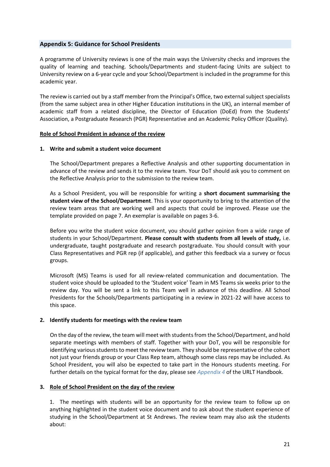#### <span id="page-20-0"></span>**Appendix 5: Guidance for School Presidents**

A programme of University reviews is one of the main ways the University checks and improves the quality of learning and teaching. Schools/Departments and student-facing Units are subject to University review on a 6-year cycle and your School/Department is included in the programme for this academic year.

The review is carried out by a staff member from the Principal's Office, two external subject specialists (from the same subject area in other Higher Education institutions in the UK), an internal member of academic staff from a related discipline, the Director of Education (DoEd) from the Students' Association, a Postgraduate Research (PGR) Representative and an Academic Policy Officer (Quality).

#### **Role of School President in advance of the review**

#### **1. Write and submit a student voice document**

The School/Department prepares a Reflective Analysis and other supporting documentation in advance of the review and sends it to the review team. Your DoT should ask you to comment on the Reflective Analysis prior to the submission to the review team.

As a School President, you will be responsible for writing a **short document summarising the student view of the School/Department**. This is your opportunity to bring to the attention of the review team areas that are working well and aspects that could be improved. Please use the template provided on page 7. An exemplar is available on pages 3-6.

Before you write the student voice document, you should gather opinion from a wide range of students in your School/Department. **Please consult with students from all levels of study,** i.e. undergraduate, taught postgraduate and research postgraduate. You should consult with your Class Representatives and PGR rep (if applicable), and gather this feedback via a survey or focus groups.

Microsoft (MS) Teams is used for all review-related communication and documentation. The student voice should be uploaded to the 'Student voice' Team in MS Teams six weeks prior to the review day. You will be sent a link to this Team well in advance of this deadline. All School Presidents for the Schools/Departments participating in a review in 2021-22 will have access to this space.

#### **2. Identify students for meetings with the review team**

On the day of the review, the team will meet with students from the School/Department, and hold separate meetings with members of staff. Together with your DoT, you will be responsible for identifying various students to meet the review team. They should be representative of the cohort not just your friends group or your Class Rep team, although some class reps may be included. As School President, you will also be expected to take part in the Honours students meeting. For further details on the typical format for the day, please see *[Appendix 4](#page-16-0)* of the URLT Handbook.

#### **3. Role of School President on the day of the review**

1. The meetings with students will be an opportunity for the review team to follow up on anything highlighted in the student voice document and to ask about the student experience of studying in the School/Department at St Andrews. The review team may also ask the students about: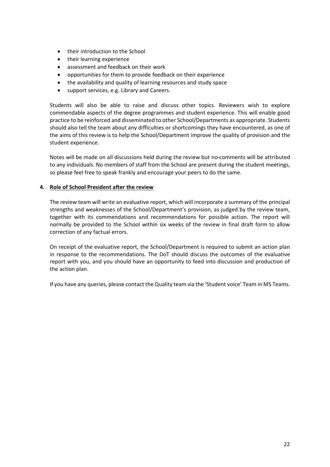- their introduction to the School
- their learning experience
- assessment and feedback on their work
- opportunities for them to provide feedback on their experience
- the availability and quality of learning resources and study space
- support services, e.g. Library and Careers.

Students will also be able to raise and discuss other topics. Reviewers wish to explore commendable aspects of the degree programmes and student experience. This will enable good practice to be reinforced and disseminated to other School/Departments as appropriate. Students should also tell the team about any difficulties or shortcomings they have encountered, as one of the aims of this review is to help the School/Department improve the quality of provision and the student experience.

Notes will be made on all discussions held during the review but no comments will be attributed to any individuals. No members of staff from the School are present during the student meetings, so please feel free to speak frankly and encourage your peers to do the same.

# **4. Role of School President after the review**

The review team will write an evaluative report, which will incorporate a summary of the principal strengths and weaknesses of the School/Department's provision, as judged by the review team, together with its commendations and recommendations for possible action. The report will normally be provided to the School within six weeks of the review in final draft form to allow correction of any factual errors.

On receipt of the evaluative report, the School/Department is required to submit an action plan in response to the recommendations. The DoT should discuss the outcomes of the evaluative report with you, and you should have an opportunity to feed into discussion and production of the action plan.

If you have any queries, please contact the Quality team via the 'Student voice' Team in MS Teams.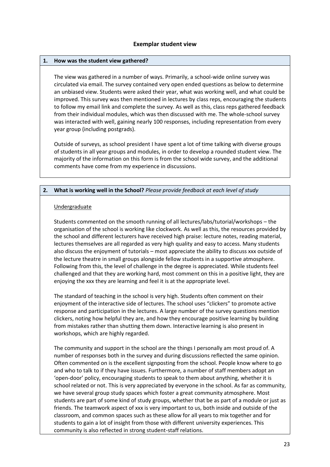#### **Exemplar student view**

#### **1. How was the student view gathered?**

The view was gathered in a number of ways. Primarily, a school-wide online survey was circulated via email. The survey contained very open ended questions as below to determine an unbiased view. Students were asked their year, what was working well, and what could be improved. This survey was then mentioned in lectures by class reps, encouraging the students to follow my email link and complete the survey. As well as this, class reps gathered feedback from their individual modules, which was then discussed with me. The whole-school survey was interacted with well, gaining nearly 100 responses, including representation from every year group (including postgrads).

Outside of surveys, as school president I have spent a lot of time talking with diverse groups of students in all year groups and modules, in order to develop a rounded student view. The majority of the information on this form is from the school wide survey, and the additional comments have come from my experience in discussions.

#### **2. What is working well in the School?** *Please provide feedback at each level of study*

#### Undergraduate

Students commented on the smooth running of all lectures/labs/tutorial/workshops – the organisation of the school is working like clockwork. As well as this, the resources provided by the school and different lecturers have received high praise: lecture notes, reading material, lectures themselves are all regarded as very high quality and easy to access. Many students also discuss the enjoyment of tutorials – most appreciate the ability to discuss xxx outside of the lecture theatre in small groups alongside fellow students in a supportive atmosphere. Following from this, the level of challenge in the degree is appreciated. While students feel challenged and that they are working hard, most comment on this in a positive light, they are enjoying the xxx they are learning and feel it is at the appropriate level.

The standard of teaching in the school is very high. Students often comment on their enjoyment of the interactive side of lectures. The school uses "clickers" to promote active response and participation in the lectures. A large number of the survey questions mention clickers, noting how helpful they are, and how they encourage positive learning by building from mistakes rather than shutting them down. Interactive learning is also present in workshops, which are highly regarded.

The community and support in the school are the things I personally am most proud of. A number of responses both in the survey and during discussions reflected the same opinion. Often commented on is the excellent signposting from the school. People know where to go and who to talk to if they have issues. Furthermore, a number of staff members adopt an 'open-door' policy, encouraging students to speak to them about anything, whether it is school related or not. This is very appreciated by everyone in the school. As far as community, we have several group study spaces which foster a great community atmosphere. Most students are part of some kind of study groups, whether that be as part of a module or just as friends. The teamwork aspect of xxx is very important to us, both inside and outside of the classroom, and common spaces such as these allow for all years to mix together and for students to gain a lot of insight from those with different university experiences. This community is also reflected in strong student-staff relations.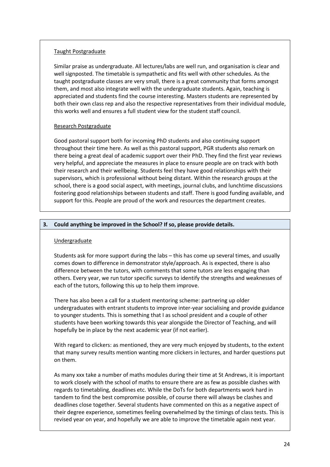#### Taught Postgraduate

Similar praise as undergraduate. All lectures/labs are well run, and organisation is clear and well signposted. The timetable is sympathetic and fits well with other schedules. As the taught postgraduate classes are very small, there is a great community that forms amongst them, and most also integrate well with the undergraduate students. Again, teaching is appreciated and students find the course interesting. Masters students are represented by both their own class rep and also the respective representatives from their individual module, this works well and ensures a full student view for the student staff council.

#### Research Postgraduate

Good pastoral support both for incoming PhD students and also continuing support throughout their time here. As well as this pastoral support, PGR students also remark on there being a great deal of academic support over their PhD. They find the first year reviews very helpful, and appreciate the measures in place to ensure people are on track with both their research and their wellbeing. Students feel they have good relationships with their supervisors, which is professional without being distant. Within the research groups at the school, there is a good social aspect, with meetings, journal clubs, and lunchtime discussions fostering good relationships between students and staff. There is good funding available, and support for this. People are proud of the work and resources the department creates.

# **3. Could anything be improved in the School? If so, please provide details.**

#### Undergraduate

Students ask for more support during the labs – this has come up several times, and usually comes down to difference in demonstrator style/approach. As is expected, there is also difference between the tutors, with comments that some tutors are less engaging than others. Every year, we run tutor specific surveys to identify the strengths and weaknesses of each of the tutors, following this up to help them improve.

There has also been a call for a student mentoring scheme: partnering up older undergraduates with entrant students to improve inter-year socialising and provide guidance to younger students. This is something that I as school president and a couple of other students have been working towards this year alongside the Director of Teaching, and will hopefully be in place by the next academic year (if not earlier).

With regard to clickers: as mentioned, they are very much enjoyed by students, to the extent that many survey results mention wanting more clickers in lectures, and harder questions put on them.

As many xxx take a number of maths modules during their time at St Andrews, it is important to work closely with the school of maths to ensure there are as few as possible clashes with regards to timetabling, deadlines etc. While the DoTs for both departments work hard in tandem to find the best compromise possible, of course there will always be clashes and deadlines close together. Several students have commented on this as a negative aspect of their degree experience, sometimes feeling overwhelmed by the timings of class tests. This is revised year on year, and hopefully we are able to improve the timetable again next year.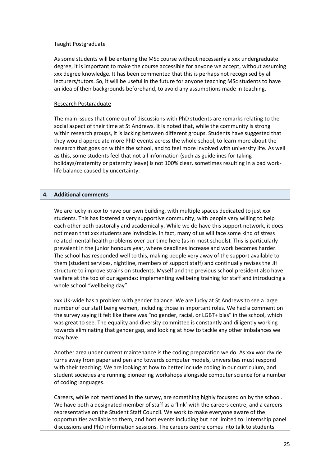#### Taught Postgraduate

As some students will be entering the MSc course without necessarily a xxx undergraduate degree, it is important to make the course accessible for anyone we accept, without assuming xxx degree knowledge. It has been commented that this is perhaps not recognised by all lecturers/tutors. So, it will be useful in the future for anyone teaching MSc students to have an idea of their backgrounds beforehand, to avoid any assumptions made in teaching.

#### Research Postgraduate

The main issues that come out of discussions with PhD students are remarks relating to the social aspect of their time at St Andrews. It is noted that, while the community is strong within research groups, it is lacking between different groups. Students have suggested that they would appreciate more PhD events across the whole school, to learn more about the research that goes on within the school, and to feel more involved with university life. As well as this, some students feel that not all information (such as guidelines for taking holidays/maternity or paternity leave) is not 100% clear, sometimes resulting in a bad worklife balance caused by uncertainty.

#### **4. Additional comments**

We are lucky in xxx to have our own building, with multiple spaces dedicated to just xxx students. This has fostered a very supportive community, with people very willing to help each other both pastorally and academically. While we do have this support network, it does not mean that xxx students are invincible. In fact, many of us will face some kind of stress related mental health problems over our time here (as in most schools). This is particularly prevalent in the junior honours year, where deadlines increase and work becomes harder. The school has responded well to this, making people very away of the support available to them (student services, nightline, members of support staff) and continually revises the JH structure to improve strains on students. Myself and the previous school president also have welfare at the top of our agendas: implementing wellbeing training for staff and introducing a whole school "wellbeing day".

xxx UK-wide has a problem with gender balance. We are lucky at St Andrews to see a large number of our staff being women, including those in important roles. We had a comment on the survey saying it felt like there was "no gender, racial, or LGBT+ bias" in the school, which was great to see. The equality and diversity committee is constantly and diligently working towards eliminating that gender gap, and looking at how to tackle any other imbalances we may have.

Another area under current maintenance is the coding preparation we do. As xxx worldwide turns away from paper and pen and towards computer models, universities must respond with their teaching. We are looking at how to better include coding in our curriculum, and student societies are running pioneering workshops alongside computer science for a number of coding languages.

Careers, while not mentioned in the survey, are something highly focussed on by the school. We have both a designated member of staff as a 'link' with the careers centre, and a careers representative on the Student Staff Council. We work to make everyone aware of the opportunities available to them, and host events including but not limited to: internship panel discussions and PhD information sessions. The careers centre comes into talk to students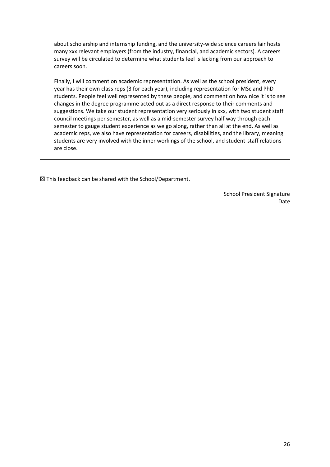about scholarship and internship funding, and the university-wide science careers fair hosts many xxx relevant employers (from the industry, financial, and academic sectors). A careers survey will be circulated to determine what students feel is lacking from our approach to careers soon.

Finally, I will comment on academic representation. As well as the school president, every year has their own class reps (3 for each year), including representation for MSc and PhD students. People feel well represented by these people, and comment on how nice it is to see changes in the degree programme acted out as a direct response to their comments and suggestions. We take our student representation very seriously in xxx, with two student staff council meetings per semester, as well as a mid-semester survey half way through each semester to gauge student experience as we go along, rather than all at the end. As well as academic reps, we also have representation for careers, disabilities, and the library, meaning students are very involved with the inner workings of the school, and student-staff relations are close.

☒ This feedback can be shared with the School/Department.

School President Signature Date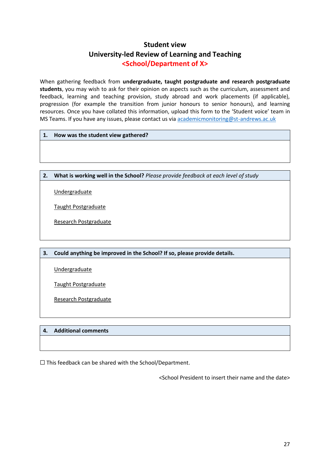# **Student view University-led Review of Learning and Teaching <School/Department of X>**

When gathering feedback from **undergraduate, taught postgraduate and research postgraduate students**, you may wish to ask for their opinion on aspects such as the curriculum, assessment and feedback, learning and teaching provision, study abroad and work placements (if applicable), progression (for example the transition from junior honours to senior honours), and learning resources. Once you have collated this information, upload this form to the 'Student voice' team in MS Teams. If you have any issues, please contact us via [academicmonitoring@st-andrews.ac.uk](mailto:academicmonitoring@st-andrews.ac.uk)

#### **1. How was the student view gathered?**

#### **2. What is working well in the School?** *Please provide feedback at each level of study*

Undergraduate

Taught Postgraduate

Research Postgraduate

#### **3. Could anything be improved in the School? If so, please provide details.**

Undergraduate

Taught Postgraduate

Research Postgraduate

#### **4. Additional comments**

 $\Box$  This feedback can be shared with the School/Department.

<School President to insert their name and the date>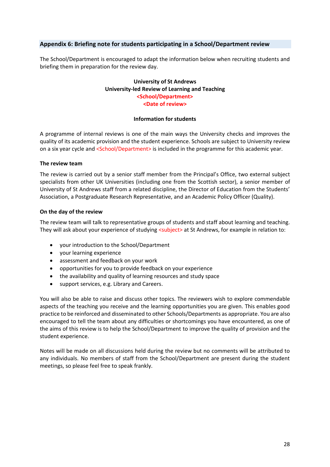# <span id="page-27-0"></span>**Appendix 6: Briefing note for students participating in a School/Department review**

The School/Department is encouraged to adapt the information below when recruiting students and briefing them in preparation for the review day.

#### **University of St Andrews University-led Review of Learning and Teaching <School/Department> <Date of review>**

#### **Information for students**

A programme of internal reviews is one of the main ways the University checks and improves the quality of its academic provision and the student experience. Schools are subject to University review on a six year cycle and <School/Department> is included in the programme for this academic year.

#### **The review team**

The review is carried out by a senior staff member from the Principal's Office, two external subject specialists from other UK Universities (including one from the Scottish sector), a senior member of University of St Andrews staff from a related discipline, the Director of Education from the Students' Association, a Postgraduate Research Representative, and an Academic Policy Officer (Quality).

#### **On the day of the review**

The review team will talk to representative groups of students and staff about learning and teaching. They will ask about your experience of studying <subject> at St Andrews, for example in relation to:

- your introduction to the School/Department
- your learning experience
- assessment and feedback on your work
- opportunities for you to provide feedback on your experience
- the availability and quality of learning resources and study space
- support services, e.g. Library and Careers.

You will also be able to raise and discuss other topics. The reviewers wish to explore commendable aspects of the teaching you receive and the learning opportunities you are given. This enables good practice to be reinforced and disseminated to other Schools/Departments as appropriate. You are also encouraged to tell the team about any difficulties or shortcomings you have encountered, as one of the aims of this review is to help the School/Department to improve the quality of provision and the student experience.

Notes will be made on all discussions held during the review but no comments will be attributed to any individuals. No members of staff from the School/Department are present during the student meetings, so please feel free to speak frankly.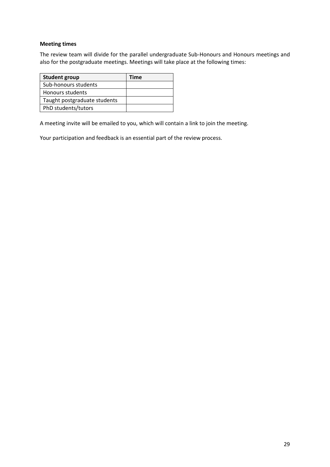# **Meeting times**

The review team will divide for the parallel undergraduate Sub-Honours and Honours meetings and also for the postgraduate meetings. Meetings will take place at the following times:

| <b>Student group</b>         | Time |
|------------------------------|------|
| Sub-honours students         |      |
| Honours students             |      |
| Taught postgraduate students |      |
| PhD students/tutors          |      |

A meeting invite will be emailed to you, which will contain a link to join the meeting.

Your participation and feedback is an essential part of the review process.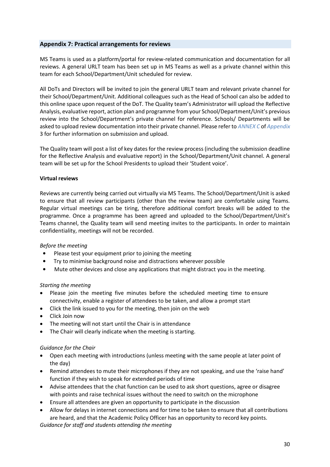#### <span id="page-29-0"></span>**Appendix 7: Practical arrangements for reviews**

MS Teams is used as a platform/portal for review-related communication and documentation for all reviews. A general URLT team has been set up in MS Teams as well as a private channel within this team for each School/Department/Unit scheduled for review.

All DoTs and Directors will be invited to join the general URLT team and relevant private channel for their School/Department/Unit. Additional colleagues such as the Head of School can also be added to this online space upon request of the DoT. The Quality team's Administrator will upload the Reflective Analysis, evaluative report, action plan and programme from your School/Department/Unit's previous review into the School/Department's private channel for reference. Schools/ Departments will be asked to upload review documentation into their private channel. Please refer to *[ANNEX C](#page-15-0)* of *[Appendix](#page-11-0)*  [3](#page-11-0) for further information on submission and upload.

The Quality team will post a list of key dates for the review process (including the submission deadline for the Reflective Analysis and evaluative report) in the School/Department/Unit channel. A general team will be set up for the School Presidents to upload their 'Student voice'.

#### **Virtual reviews**

Reviews are currently being carried out virtually via MS Teams. The School/Department/Unit is asked to ensure that all review participants (other than the review team) are comfortable using Teams. Regular virtual meetings can be tiring, therefore additional comfort breaks will be added to the programme. Once a programme has been agreed and uploaded to the School/Department/Unit's Teams channel, the Quality team will send meeting invites to the participants. In order to maintain confidentiality, meetings will not be recorded.

#### *Before the meeting*

- Please test your equipment prior to joining the meeting
- Try to minimise background noise and distractions wherever possible
- Mute other devices and close any applications that might distract you in the meeting.

#### *Starting the meeting*

- Please join the meeting five minutes before the scheduled meeting time to ensure connectivity, enable a register of attendees to be taken, and allow a prompt start
- Click the link issued to you for the meeting, then join on the web
- Click Join now
- The meeting will not start until the Chair is in attendance
- The Chair will clearly indicate when the meeting is starting.

#### *Guidance for the Chair*

- Open each meeting with introductions (unless meeting with the same people at later point of the day)
- Remind attendees to mute their microphones if they are not speaking, and use the 'raise hand' function if they wish to speak for extended periods of time
- Advise attendees that the chat function can be used to ask short questions, agree or disagree with points and raise technical issues without the need to switch on the microphone
- Ensure all attendees are given an opportunity to participate in the discussion
- Allow for delays in internet connections and for time to be taken to ensure that all contributions are heard, and that the Academic Policy Officer has an opportunity to record key points.

*Guidance for staff and students attending the meeting*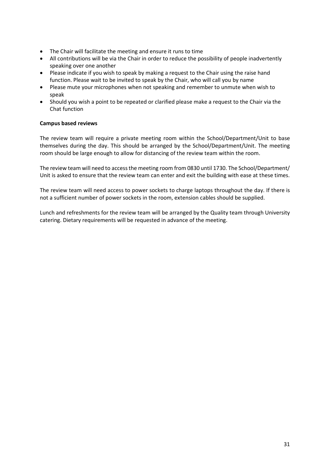- The Chair will facilitate the meeting and ensure it runs to time
- All contributions will be via the Chair in order to reduce the possibility of people inadvertently speaking over one another
- Please indicate if you wish to speak by making a request to the Chair using the raise hand function. Please wait to be invited to speak by the Chair, who will call you by name
- Please mute your microphones when not speaking and remember to unmute when wish to speak
- Should you wish a point to be repeated or clarified please make a request to the Chair via the Chat function

#### **Campus based reviews**

The review team will require a private meeting room within the School/Department/Unit to base themselves during the day. This should be arranged by the School/Department/Unit. The meeting room should be large enough to allow for distancing of the review team within the room.

The review team will need to access the meeting room from 0830 until 1730. The School/Department/ Unit is asked to ensure that the review team can enter and exit the building with ease at these times.

The review team will need access to power sockets to charge laptops throughout the day. If there is not a sufficient number of power sockets in the room, extension cables should be supplied.

Lunch and refreshments for the review team will be arranged by the Quality team through University catering. Dietary requirements will be requested in advance of the meeting.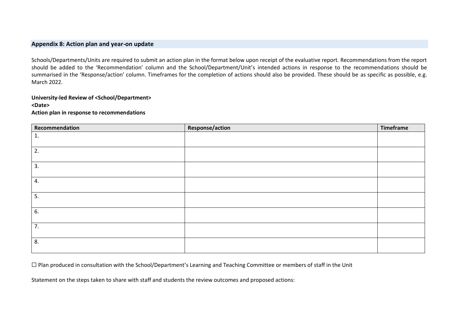#### **Appendix 8: Action plan and year-on update**

Schools/Departments/Units are required to submit an action plan in the format below upon receipt of the evaluative report. Recommendations from the report should be added to the 'Recommendation' column and the School/Department/Unit's intended actions in response to the recommendations should be summarised in the 'Response/action' column. Timeframes for the completion of actions should also be provided. These should be as specific as possible, e.g. March 2022.

# **University-led Review of <School/Department>**

#### **<Date>**

**Action plan in response to recommendations**

<span id="page-31-0"></span>

| Recommendation | <b>Response/action</b> | Timeframe |
|----------------|------------------------|-----------|
| 1.             |                        |           |
| 2.             |                        |           |
| 3.             |                        |           |
| 4.             |                        |           |
| 5.             |                        |           |
| 6.             |                        |           |
| 7.             |                        |           |
| 8.             |                        |           |

☐ Plan produced in consultation with the School/Department's Learning and Teaching Committee or members of staff in the Unit

Statement on the steps taken to share with staff and students the review outcomes and proposed actions: